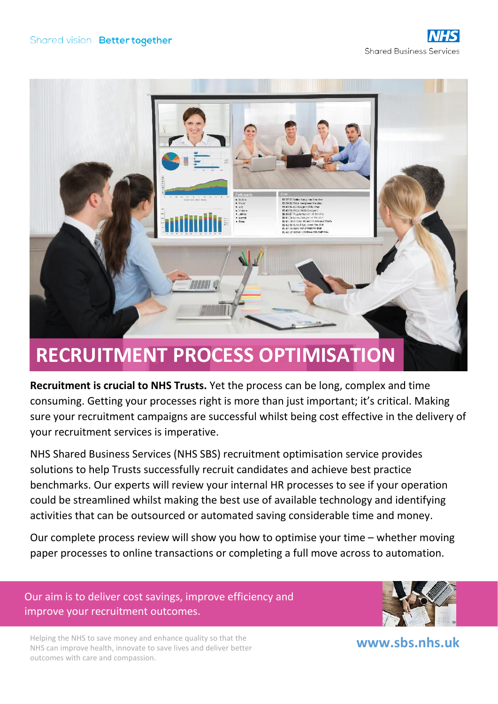

# **RECRUITMENT PROCESS OPTIMISATION**

**Recruitment is crucial to NHS Trusts.** Yet the process can be long, complex and time consuming. Getting your processes right is more than just important; it's critical. Making sure your recruitment campaigns are successful whilst being cost effective in the delivery of your recruitment services is imperative.

NHS Shared Business Services (NHS SBS) recruitment optimisation service provides solutions to help Trusts successfully recruit candidates and achieve best practice benchmarks. Our experts will review your internal HR processes to see if your operation could be streamlined whilst making the best use of available technology and identifying activities that can be outsourced or automated saving considerable time and money.

Our complete process review will show you how to optimise your time – whether moving paper processes to online transactions or completing a full move across to automation.

Our aim is to deliver cost savings, improve efficiency and improve your recruitment outcomes.



Helping the NHS to save money and enhance quality so that the NHS can improve health, innovate to save lives and deliver better outcomes with care and compassion.

**[www.sbs.nhs.uk](http://www.sbs.nhs.uk/)**